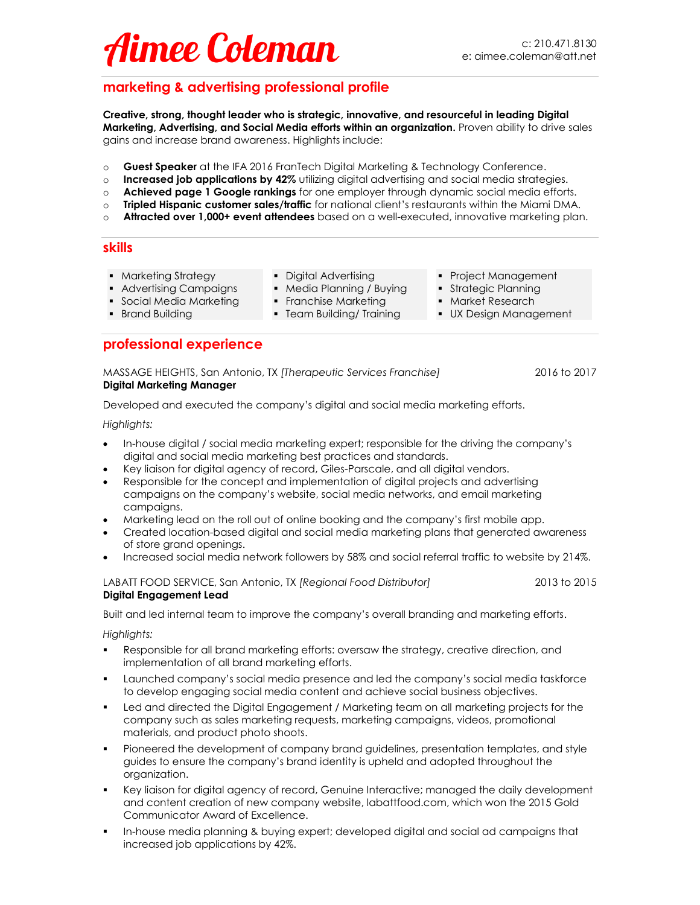## $221$  $\mathcal{A}$ ime e  $\mathcal{A}$ ennan  $\mathcal{A}$

## **marketing & advertising professional profile**

**Creative, strong, thought leader who is strategic, innovative, and resourceful in leading Digital Marketing, Advertising, and Social Media efforts within an organization.** Proven ability to drive sales gains and increase brand awareness. Highlights include:

- o **Guest Speaker** at the IFA 2016 FranTech Digital Marketing & Technology Conference.
- o **Increased job applications by 42%** utilizing digital advertising and social media strategies.
- o **Achieved page 1 Google rankings** for one employer through dynamic social media efforts.
- o **Tripled Hispanic customer sales/traffic** for national client's restaurants within the Miami DMA.
- o **Attracted over 1,000+ event attendees** based on a well-executed, innovative marketing plan.

### **skills**

- Marketing Strategy Digital Advertising Project Management
	-
- 
- Advertising Campaigns Media Planning / Buying Strategic Planning
	- -
- 
- 
- Social Media Marketing Franchise Marketing Market Research
- Brand Building Team Building/ Training UX Design Management

### **professional experience**

#### MASSAGE HEIGHTS, San Antonio, TX *[Therapeutic Services Franchise]* 2016 to 2017 **Digital Marketing Manager**

Developed and executed the company's digital and social media marketing efforts.

*Highlights:*

- In-house digital / social media marketing expert; responsible for the driving the company's digital and social media marketing best practices and standards.
- Key liaison for digital agency of record, Giles-Parscale, and all digital vendors.
- Responsible for the concept and implementation of digital projects and advertising campaigns on the company's website, social media networks, and email marketing campaigns.
- Marketing lead on the roll out of online booking and the company's first mobile app.
- Created location-based digital and social media marketing plans that generated awareness of store grand openings.
- Increased social media network followers by 58% and social referral traffic to website by 214%.

LABATT FOOD SERVICE, San Antonio, TX *[Regional Food Distributor]* 2013 to 2015 **Digital Engagement Lead** 

Built and led internal team to improve the company's overall branding and marketing efforts.

*Highlights:*

- Responsible for all brand marketing efforts: oversaw the strategy, creative direction, and implementation of all brand marketing efforts.
- Launched company's social media presence and led the company's social media taskforce to develop engaging social media content and achieve social business objectives.
- Led and directed the Digital Engagement / Marketing team on all marketing projects for the company such as sales marketing requests, marketing campaigns, videos, promotional materials, and product photo shoots.
- Pioneered the development of company brand guidelines, presentation templates, and style guides to ensure the company's brand identity is upheld and adopted throughout the organization.
- Key liaison for digital agency of record, Genuine Interactive; managed the daily development and content creation of new company website, labattfood.com, which won the 2015 Gold Communicator Award of Excellence.
- In-house media planning & buying expert; developed digital and social ad campaigns that increased job applications by 42%.